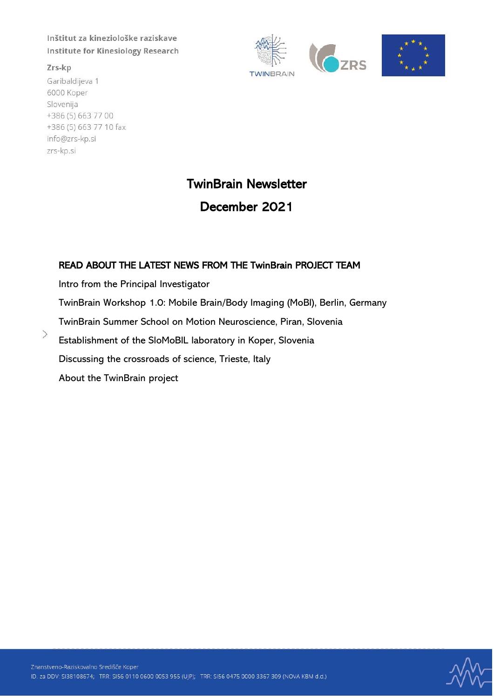Zrs-kp

 $\rightarrow$ 

Garibaldijeva 1 6000 Koper Slovenija +386 (5) 663 77 00 +386 (5) 663 77 10 fax info@zrs-kp.si zrs-kp.si





# TwinBrain Newsletter

# December 2021

## READ ABOUT THE LATEST NEWS FROM THE TwinBrain PROJECT TEAM

Intro from the Principal Investigator

TwinBrain Workshop 1.0: Mobile Brain/Body Imaging (MoBI), Berlin, Germany

TwinBrain Summer School on Motion Neuroscience, Piran, Slovenia

Establishment of the SloMoBIL laboratory in Koper, Slovenia

Discussing the crossroads of science, Trieste, Italy

About the TwinBrain project

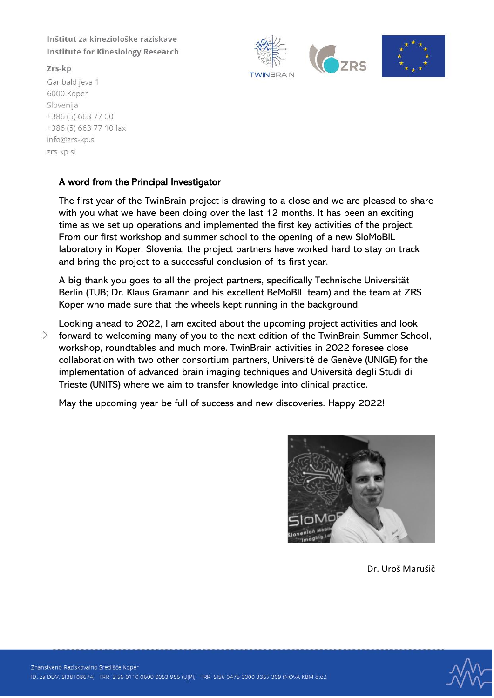Zrs-kp

Garibaldijeva 1 6000 Koper Slovenija +386 (5) 663 77 00 +386 (5) 663 77 10 fax info@zrs-kp.si zrs-kp.si

## A word from the Principal Investigator

The first year of the TwinBrain project is drawing to a close and we are pleased to share with you what we have been doing over the last 12 months. It has been an exciting time as we set up operations and implemented the first key activities of the project. From our first workshop and summer school to the opening of a new SloMoBIL laboratory in Koper, Slovenia, the project partners have worked hard to stay on track and bring the project to a successful conclusion of its first year.

**TWINRRAIN** 

A big thank you goes to all the project partners, specifically Technische Universität Berlin (TUB; Dr. Klaus Gramann and his excellent BeMoBIL team) and the team at ZRS Koper who made sure that the wheels kept running in the background.

Looking ahead to 2022, I am excited about the upcoming project activities and look  $\left\langle \right\rangle$ forward to welcoming many of you to the next edition of the TwinBrain Summer School, workshop, roundtables and much more. TwinBrain activities in 2022 foresee close collaboration with two other consortium partners, Université de Genève (UNIGE) for the implementation of advanced brain imaging techniques and Università degli Studi di Trieste (UNITS) where we aim to transfer knowledge into clinical practice.

May the upcoming year be full of success and new discoveries. Happy 2022!



**ZDS** 

Dr. Uroš Marušič

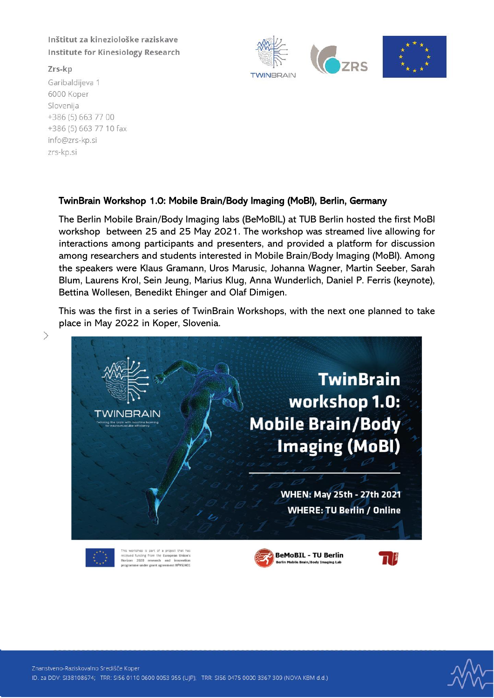Zrs-kp

 $\left\langle \right\rangle$ 

Garibaldijeva 1 6000 Koper Slovenija +386 (5) 663 77 00 +386 (5) 663 77 10 fax info@zrs-kp.si zrs-kp.si



## TwinBrain Workshop 1.0: Mobile Brain/Body Imaging (MoBI), Berlin, Germany

The Berlin Mobile Brain/Body Imaging labs (BeMoBIL) at TUB Berlin hosted the first MoBI workshop between 25 and 25 May 2021. The workshop was streamed live allowing for interactions among participants and presenters, and provided a platform for discussion among researchers and students interested in Mobile Brain/Body Imaging (MoBI). Among the speakers were Klaus Gramann, Uros Marusic, Johanna Wagner, Martin Seeber, Sarah Blum, Laurens Krol, Sein Jeung, Marius Klug, Anna Wunderlich, Daniel P. Ferris (keynote), Bettina Wollesen, Benedikt Ehinger and Olaf Dimigen.

This was the first in a series of TwinBrain Workshops, with the next one planned to take place in May 2022 in Koper, Slovenia.





received funding from the European Union's<br>Horizon 2020 research and innovation nt NºOS2401





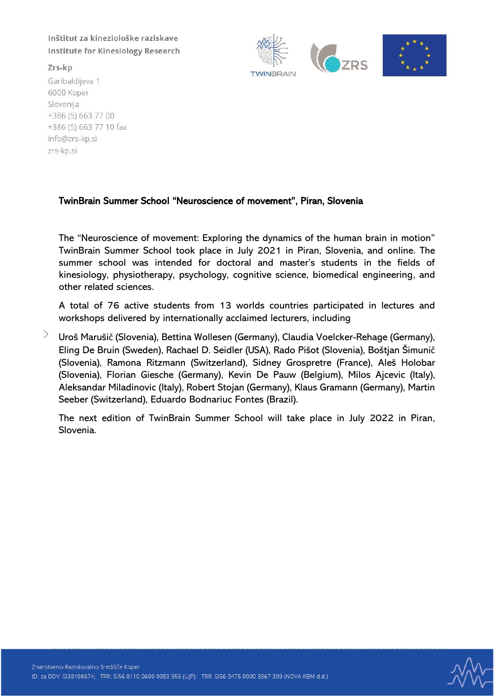Zrs-kp

Garibaldijeva 1 6000 Koper Slovenija +386 (5) 663 77 00 +386 (5) 663 77 10 fax info@zrs-kp.si zrs-kp.si



## TwinBrain Summer School "Neuroscience of movement", Piran, Slovenia

The "Neuroscience of movement: Exploring the dynamics of the human brain in motion" TwinBrain Summer School took place in July 2021 in Piran, Slovenia, and online. The summer school was intended for doctoral and master's students in the fields of kinesiology, physiotherapy, psychology, cognitive science, biomedical engineering, and other related sciences.

A total of 76 active students from 13 worlds countries participated in lectures and workshops delivered by internationally acclaimed lecturers, including

Uroš Marušič (Slovenia), Bettina Wollesen (Germany), Claudia Voelcker-Rehage (Germany), Eling De Bruin (Sweden), Rachael D. Seidler (USA), Rado Pišot (Slovenia), Boštjan Šimunič (Slovenia), Ramona Ritzmann (Switzerland), Sidney Grospretre (France), Aleš Holobar (Slovenia), Florian Giesche (Germany), Kevin De Pauw (Belgium), Milos Ajcevic (Italy), Aleksandar Miladinovic (Italy), Robert Stojan (Germany), Klaus Gramann (Germany), Martin Seeber (Switzerland), Eduardo Bodnariuc Fontes (Brazil).

The next edition of TwinBrain Summer School will take place in July 2022 in Piran, Slovenia.

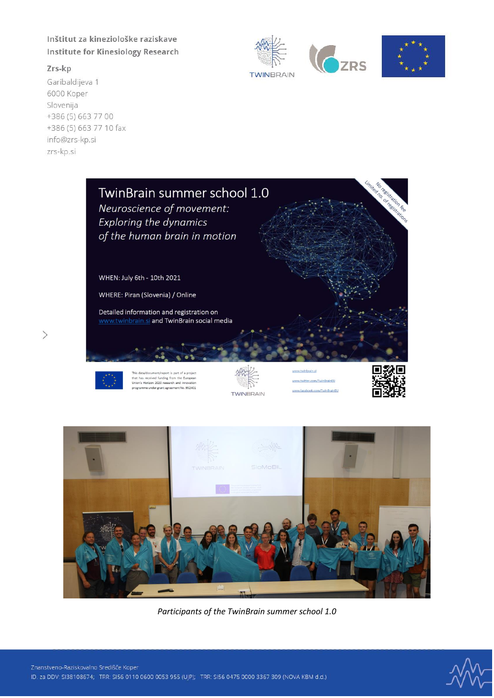#### Zrs-kp

 $\left\langle \right\rangle$ 

Garibaldijeva 1 6000 Koper Slovenija +386 (5) 663 77 00 +386 (5) 663 77 10 fax info@zrs-kp.si zrs-kp.si









data/docu t/report is part of a projec this bacay document yeigott is part or a project<br>that has received funding from the European<br>Union's Horizon 2020 research and innovation<br>programme undergrant agreement No. 952401



w.twitter.com/TwinBrainEU w.facebook.com/TwinBrainEU





*Participants of the TwinBrain summer school 1.0*

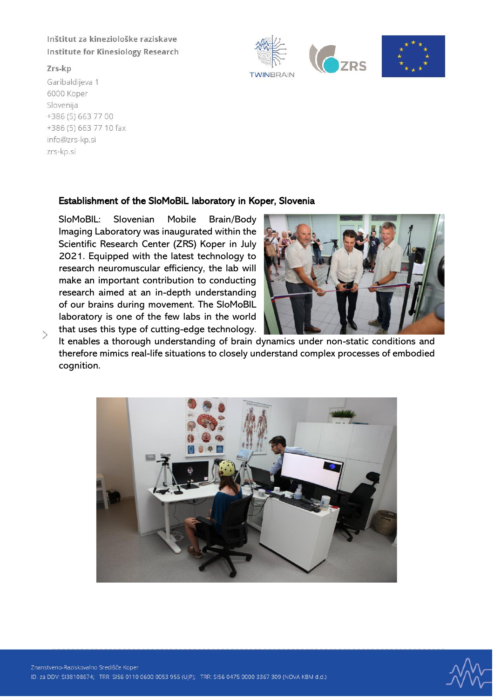Zrs-kp

 $\left\langle \right\rangle$ 

Garibaldijeva 1 6000 Koper Slovenija +386 (5) 663 77 00 +386 (5) 663 77 10 fax info@zrs-kp.si zrs-kp.si

# Establishment of the SloMoBiL laboratory in Koper, Slovenia

SloMoBIL: Slovenian Mobile Brain/Body Imaging Laboratory was inaugurated within the Scientific Research Center (ZRS) Koper in July 2021. Equipped with the latest technology to research neuromuscular efficiency, the lab will make an important contribution to conducting research aimed at an in-depth understanding of our brains during movement. The SloMoBIL laboratory is one of the few labs in the world that uses this type of cutting-edge technology.



**O**ZRS

**TWINBRAIN** 

It enables a thorough understanding of brain dynamics under non-static conditions and therefore mimics real-life situations to closely understand complex processes of embodied cognition.



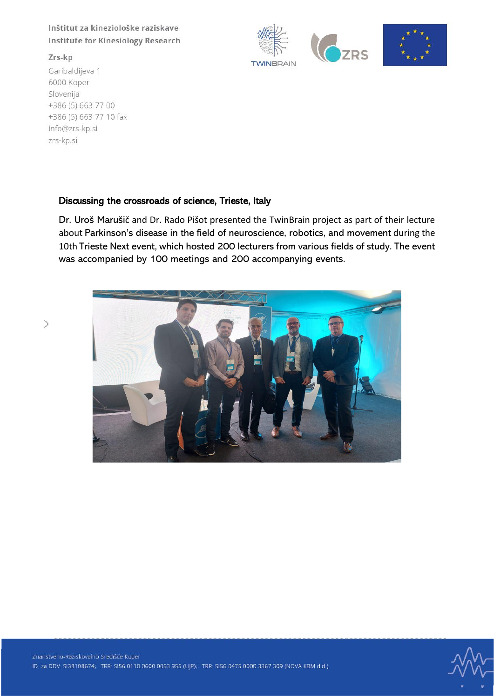### Zrs-kp

 $\left\langle \right\rangle$ 

Garibaldijeva 1 6000 Koper Slovenija +386 (5) 663 77 00 +386 (5) 663 77 10 fax info@zrs-kp.si zrs-kp.si





## Discussing the crossroads of science, Trieste, Italy

Dr. Uroš Marušič and Dr. Rado Pišot presented the TwinBrain project as part of their lecture about Parkinson's disease in the field of neuroscience, robotics, and movement during the 10th Trieste Next event, which hosted 200 lecturers from various fields of study. The event was accompanied by 100 meetings and 200 accompanying events.



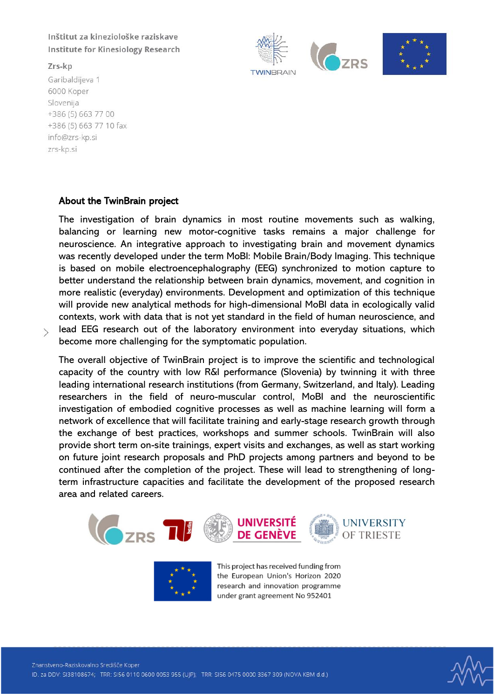Zrs-kp

 $\mathcal{P}$ 

Garibaldijeva 1 6000 Koper Slovenija +386 (5) 663 77 00 +386 (5) 663 77 10 fax info@zrs-kp.si zrs-kp.si



The investigation of brain dynamics in most routine movements such as walking, balancing or learning new motor-cognitive tasks remains a major challenge for neuroscience. An integrative approach to investigating brain and movement dynamics was recently developed under the term MoBI: Mobile Brain/Body Imaging. This technique is based on mobile electroencephalography (EEG) synchronized to motion capture to better understand the relationship between brain dynamics, movement, and cognition in more realistic (everyday) environments. Development and optimization of this technique will provide new analytical methods for high-dimensional MoBI data in ecologically valid contexts, work with data that is not yet standard in the field of human neuroscience, and lead EEG research out of the laboratory environment into everyday situations, which become more challenging for the symptomatic population.

**TWINRRAIN** 

The overall objective of TwinBrain project is to improve the scientific and technological capacity of the country with low R&I performance (Slovenia) by twinning it with three leading international research institutions (from Germany, Switzerland, and Italy). Leading researchers in the field of neuro-muscular control, MoBI and the neuroscientific investigation of embodied cognitive processes as well as machine learning will form a network of excellence that will facilitate training and early-stage research growth through the exchange of best practices, workshops and summer schools. TwinBrain will also provide short term on-site trainings, expert visits and exchanges, as well as start working on future joint research proposals and PhD projects among partners and beyond to be continued after the completion of the project. These will lead to strengthening of longterm infrastructure capacities and facilitate the development of the proposed research area and related careers.





This project has received funding from the European Union's Horizon 2020 research and innovation programme under grant agreement No 952401